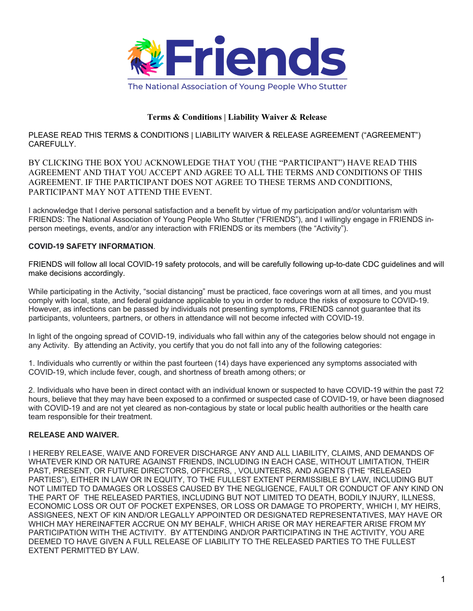

## **Terms & Conditions | Liability Waiver & Release**

PLEASE READ THIS TERMS & CONDITIONS | LIABILITY WAIVER & RELEASE AGREEMENT ("AGREEMENT") CAREFULLY.

BY CLICKING THE BOX YOU ACKNOWLEDGE THAT YOU (THE "PARTICIPANT") HAVE READ THIS AGREEMENT AND THAT YOU ACCEPT AND AGREE TO ALL THE TERMS AND CONDITIONS OF THIS AGREEMENT. IF THE PARTICIPANT DOES NOT AGREE TO THESE TERMS AND CONDITIONS, PARTICIPANT MAY NOT ATTEND THE EVENT.

I acknowledge that I derive personal satisfaction and a benefit by virtue of my participation and/or voluntarism with FRIENDS: The National Association of Young People Who Stutter ("FRIENDS"), and I willingly engage in FRIENDS inperson meetings, events, and/or any interaction with FRIENDS or its members (the "Activity").

## **COVID-19 SAFETY INFORMATION**.

FRIENDS will follow all local COVID-19 safety protocols, and will be carefully following up-to-date CDC guidelines and will make decisions accordingly.

While participating in the Activity, "social distancing" must be practiced, face coverings worn at all times, and you must comply with local, state, and federal guidance applicable to you in order to reduce the risks of exposure to COVID-19. However, as infections can be passed by individuals not presenting symptoms, FRIENDS cannot guarantee that its participants, volunteers, partners, or others in attendance will not become infected with COVID-19.

In light of the ongoing spread of COVID-19, individuals who fall within any of the categories below should not engage in any Activity. By attending an Activity, you certify that you do not fall into any of the following categories:

1. Individuals who currently or within the past fourteen (14) days have experienced any symptoms associated with COVID-19, which include fever, cough, and shortness of breath among others; or

2. Individuals who have been in direct contact with an individual known or suspected to have COVID-19 within the past 72 hours, believe that they may have been exposed to a confirmed or suspected case of COVID-19, or have been diagnosed with COVID-19 and are not yet cleared as non-contagious by state or local public health authorities or the health care team responsible for their treatment.

## **RELEASE AND WAIVER.**

I HEREBY RELEASE, WAIVE AND FOREVER DISCHARGE ANY AND ALL LIABILITY, CLAIMS, AND DEMANDS OF WHATEVER KIND OR NATURE AGAINST FRIENDS, INCLUDING IN EACH CASE, WITHOUT LIMITATION, THEIR PAST, PRESENT, OR FUTURE DIRECTORS, OFFICERS, , VOLUNTEERS, AND AGENTS (THE "RELEASED PARTIES"), EITHER IN LAW OR IN EQUITY, TO THE FULLEST EXTENT PERMISSIBLE BY LAW, INCLUDING BUT NOT LIMITED TO DAMAGES OR LOSSES CAUSED BY THE NEGLIGENCE, FAULT OR CONDUCT OF ANY KIND ON THE PART OF THE RELEASED PARTIES, INCLUDING BUT NOT LIMITED TO DEATH, BODILY INJURY, ILLNESS, ECONOMIC LOSS OR OUT OF POCKET EXPENSES, OR LOSS OR DAMAGE TO PROPERTY, WHICH I, MY HEIRS, ASSIGNEES, NEXT OF KIN AND/OR LEGALLY APPOINTED OR DESIGNATED REPRESENTATIVES, MAY HAVE OR WHICH MAY HEREINAFTER ACCRUE ON MY BEHALF, WHICH ARISE OR MAY HEREAFTER ARISE FROM MY PARTICIPATION WITH THE ACTIVITY. BY ATTENDING AND/OR PARTICIPATING IN THE ACTIVITY, YOU ARE DEEMED TO HAVE GIVEN A FULL RELEASE OF LIABILITY TO THE RELEASED PARTIES TO THE FULLEST EXTENT PERMITTED BY LAW.